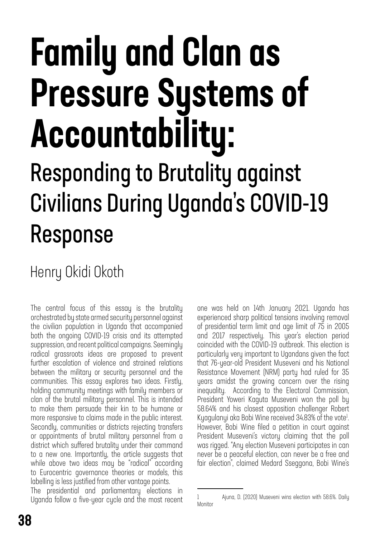# Family and Clan as Pressure Systems of Accountability: Responding to Brutality against Civilians During Uganda's COVID-19 Response

### Henry Okidi Okoth

The central focus of this essay is the brutality orchestrated by state armed security personnel against the civilian population in Uganda that accompanied both the ongoing COVID-19 crisis and its attempted suppression, and recent political campaigns. Seemingly radical grassroots ideas are proposed to prevent further escalation of violence and strained relations between the military or security personnel and the communities. This essay explores two ideas. Firstly, holding community meetings with family members or clan of the brutal military personnel. This is intended to make them persuade their kin to be humane or more responsive to claims made in the public interest. Secondly, communities or districts rejecting transfers or appointments of brutal military personnel from a district which suffered brutality under their command to a new one. Importantly, the article suggests that while above two ideas may be "radical" according to Eurocentric governance theories or models, this labelling is less justified from other vantage points.

The presidential and parliamentary elections in Uganda follow a five-year cycle and the most recent one was held on 14th January 2021. Uganda has experienced sharp political tensions involving removal of presidential term limit and age limit of 75 in 2005 and 2017 respectively. This year's election period coincided with the COVID-19 outbreak. This election is particularly very important to Ugandans given the fact that 76-year-old President Museveni and his National Resistance Movement (NRM) party had ruled for 35 years amidst the growing concern over the rising inequality. According to the Electoral Commission, President Yoweri Kaguta Museveni won the poll by 58.64% and his closest opposition challenger Robert Kyagulanyi aka Bobi Wine received 34.83% of the vote<sup>1</sup>. However, Bobi Wine filed a petition in court against President Museveni's victory claiming that the poll was rigged. "Any election Museveni participates in can never be a peaceful election, can never be a free and fair election", claimed Medard Sseggona, Bobi Wine's

<sup>1</sup> Ajuna, D. (2020) Museveni wins election with 58.6%. Daily Monitor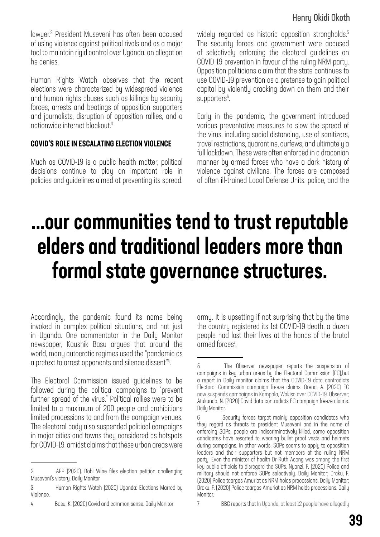#### Henry Okidi Okoth

lawyer.2 President Museveni has often been accused of using violence against political rivals and as a major tool to maintain rigid control over Uganda, an allegation he denies.

Human Rights Watch observes that the recent elections were characterized by widespread violence and human rights abuses such as killings by security forces, arrests and beatings of opposition supporters and journalists, disruption of opposition rallies, and a nationwide internet blackout.3

#### COVID'S ROLE IN ESCALATING ELECTION VIOLENCE

Much as COVID-19 is a public health matter, political decisions continue to play an important role in policies and guidelines aimed at preventing its spread. widely regarded as historic opposition strongholds.<sup>5</sup> The security forces and government were accused of selectively enforcing the electoral guidelines on COVID-19 prevention in favour of the ruling NRM party. Opposition politicians claim that the state continues to use COVID-19 prevention as a pretense to gain political capital by violently cracking down on them and their supporters<sup>6</sup>. .<br>.

Early in the pandemic, the government introduced various preventative measures to slow the spread of the virus, including social distancing, use of sanitizers, travel restrictions, quarantine, curfews, and ultimately a full lockdown. These were often enforced in a draconian manner by armed forces who have a dark history of violence against civilians. The forces are composed of often ill-trained Local Defense Units, police, and the

## ...our communities tend to trust reputable elders and traditional leaders more than formal state governance structures.

Accordingly, the pandemic found its name being invoked in complex political situations, and not just in Uganda. One commentator in the Daily Monitor newspaper, Kaushik Basu argues that around the world, many autocratic regimes used the "pandemic as a pretext to arrest opponents and silence dissent"<sup>4</sup>. .

The Electoral Commission issued guidelines to be followed during the political campaigns to "prevent further spread of the virus." Political rallies were to be limited to a maximum of 200 people and prohibitions limited processions to and from the campaign venues. The electoral body also suspended political campaigns in major cities and towns they considered as hotspots for COVID-19, amidst claims that these urban areas were

4 Basu, K. (2020) Covid and common sense. Daily Monitor

army. It is upsetting if not surprising that by the time the country registered its 1st COVID-19 death, a dozen people had lost their lives at the hands of the brutal armed forces<sup>7</sup>.

<sup>2</sup> AFP (2020). Bobi Wine files election petition challenging Museveni's victory. Daily Monitor

<sup>3</sup> Human Rights Watch (2020) Uganda: Elections Marred by Violence.

<sup>5</sup> The Observer newspaper reports the suspension of campaigns in key urban areas by the Electoral Commission (EC),but a report in Daily monitor claims that the COVID-19 data contradicts Electoral Commission campaign freeze claims. Orena, A. (2020) EC now suspends campaigns in Kampala, Wakiso over COVID-19. Observer; Atukunda, N. (2020) Covid data contradicts EC campaign freeze claims. Daily Monitor.

<sup>6</sup> Security forces target mainly opposition candidates who they regard as threats to president Museveni and in the name of enforcing SOPs, people are indiscriminatively killed, some opposition candidates have resorted to wearing bullet proof vests and helmets during campaigns. In other words, SOPs seems to apply to opposition leaders and their supporters but not members of the ruling NRM party. Even the minister of health Dr Ruth Aceng was among the first key public officials to disregard the SOPs. Nyanzi, F. (2020) Police and military should not enforce SOPs selectively. Daily Monitor; Draku, F. (2020) Police teargas Amuriat as NRM holds processions. Daily Monitor; Draku, F. (2020) Police teargas Amuriat as NRM holds processions. Daily Monitor.

<sup>7</sup> BBC reports that In Uganda, at least 12 people have allegedly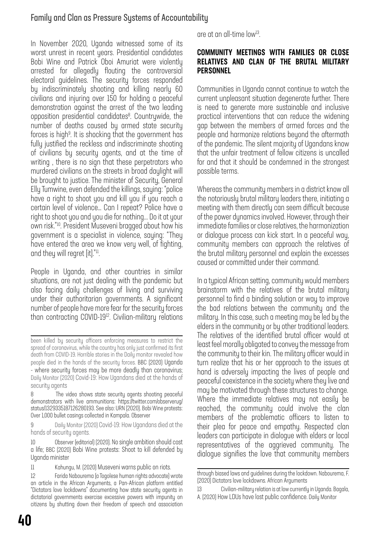#### Family and Clan as Pressure Systems of Accountability

In November 2020, Uganda witnessed some of its worst unrest in recent years. Presidential candidates Bobi Wine and Patrick Oboi Amuriat were violently arrested for allegedly flouting the controversial electoral guidelines. The security forces responded by indiscriminately shooting and killing nearly 60 civilians and injuring over 150 for holding a peaceful demonstration against the arrest of the two leading opposition presidential candidates<sup>8</sup>. Countrywide, the number of deaths caused by armed state security forces is high<sup>9</sup>. It is shocking that the government has fully justified the reckless and indiscriminate shooting of civilians by security agents, and at the time of writing , there is no sign that these perpetrators who murdered civilians on the streets in broad daylight will be brought to justice. The minister of Security, General Elly Tumwine, even defended the killings, saying: "police have a right to shoot you and kill you if you reach a certain level of violence… Can I repeat? Police have a right to shoot you and you die for nothing... Do it at your own risk."10. President Museveni bragged about how his government is a specialist in violence, saying: "They have entered the area we know very well, of fighting, and they will regret [it]."<sup>11</sup>.

People in Uganda, and other countries in similar situations, are not just dealing with the pandemic but also facing daily challenges of living and surviving under their authoritarian governments. A significant number of people have more fear for the security forces than contracting COVID-1912. Civilian-military relations

9 Daily Monitor (2020) Covid-19: How Ugandans died at the hands of security agents.

10 Observer (editorial) (2020). No single ambition should cost a life; BBC (2020) Bobi Wine protests: Shoot to kill defended by Uganda minister

11 Kahungu, M. (2020) Museveni warns public on riots.

are at an all-time low13.

#### COMMUNITY MEETINGS WITH FAMILIES OR CLOSE RELATIVES AND CLAN OF THE BRUTAL MILITARY **PERSONNEL**

Communities in Uganda cannot continue to watch the current unpleasant situation degenerate further. There is need to generate more sustainable and inclusive practical interventions that can reduce the widening gap between the members of armed forces and the people and harmonize relations beyond the aftermath of the pandemic. The silent majority of Ugandans know that the unfair treatment of fellow citizens is uncalled for and that it should be condemned in the strongest possible terms.

Whereas the community members in a district know all the notoriously brutal military leaders there, initiating a meeting with them directly can seem difficult because of the power dynamics involved. However, through their immediate families or close relatives, the harmonization or dialogue process can kick start. In a peaceful way, community members can approach the relatives of the brutal military personnel and explain the excesses caused or committed under their command.

In a typical African setting, community would members brainstorm with the relatives of the brutal military personnel to find a binding solution or way to improve the bad relations between the community and the military. In this case, such a meeting may be led by the elders in the community or by other traditional leaders. The relatives of the identified brutal officer would at least feel morally obligated to convey the message from the community to their kin. The military officer would in turn realize that his or her approach to the issues at hand is adversely impacting the lives of people and peaceful coexistence in the society where they live and may be motivated through these structures to change. Where the immediate relatives may not easily be reached, the community could involve the clan members of the problematic officers to listen to their plea for peace and empathy. Respected clan leaders can participate in dialogue with elders or local representatives of the aggrieved community. The dialogue signifies the love that community members

been killed by security officers enforcing measures to restrict the spread of coronavirus, while the country has only just confirmed its first death from COVID-19. Horrible stories in the Daily monitor revealed how people died in the hands of the security forces. BBC (2020) Uganda - where security forces may be more deadly than coronavirus; Daily Monitor (2020) Covid-19: How Ugandans died at the hands of security agents

<sup>8</sup> The video shows state security agents shooting peaceful demonstrators with live ammunitions: [https://twitter.com/observerug/](https://twitter.com/observerug/status/1329335187126280193) [status/1329335187126280193](https://twitter.com/observerug/status/1329335187126280193). See also: URN (2020). Bobi Wine protests: Over 1,000 bullet casings collected in Kampala. Observer

<sup>12</sup> Farida Nabourema (a Togolese human rights advocate) wrote an article in the African Arguments, a Pan-African platform entitled "Dictators love lockdowns" documenting how state security agents in dictatorial governments exercise excessive powers with impunity on citizens by shutting down their freedom of speech and association

through biased laws and guidelines during the lockdown. Nabourema, F. (2020) Dictators love lockdowns. African Arguments

<sup>13</sup> Civilian-military relation is at low currently in Uganda. Bagala, A. (2020) How LDUs have lost public confidence. Daily Monitor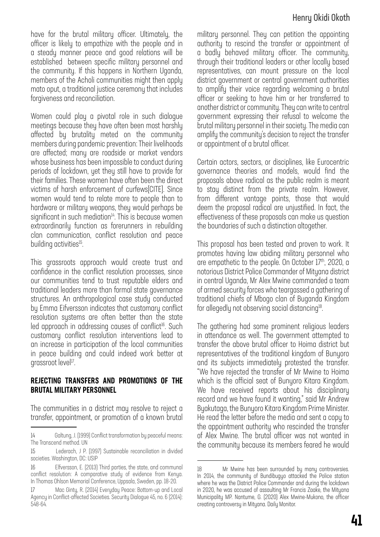#### Henry Okidi Okoth

have for the brutal military officer. Ultimately, the officer is likely to empathize with the people and in a steady manner peace and good relations will be established between specific military personnel and the community. If this happens in Northern Uganda, members of the Acholi communities might then apply mato oput, a traditional justice ceremony that includes forgiveness and reconciliation.

Women could play a pivotal role in such dialogue meetings because they have often been most harshly affected by brutality meted on the community members during pandemic prevention: Their livelihoods are affected; many are roadside or market vendors whose business has been impossible to conduct during periods of lockdown, yet they still have to provide for their families. These women have often been the direct victims of harsh enforcement of curfews[CITE]. Since women would tend to relate more to people than to hardware or military weapons, they would perhaps be significant in such mediation $14$ . This is because women extraordinarily function as forerunners in rebuilding clan communication, conflict resolution and peace building activities<sup>15</sup>.

This grassroots approach would create trust and confidence in the conflict resolution processes, since our communities tend to trust reputable elders and traditional leaders more than formal state governance structures. An anthropological case study conducted by Emma Eifversson indicates that customary conflict resolution systems are often better than the state led approach in addressing causes of conflict<sup>16</sup>. Such customary conflict resolution interventions lead to an increase in participation of the local communities in peace building and could indeed work better at grassroot level<sup>17</sup>.

#### REJECTING TRANSFERS AND PROMOTIONS OF THE BRUTAL MILITARY PERSONNEL

The communities in a district may resolve to reject a transfer, appointment, or promotion of a known brutal military personnel. They can petition the appointing authority to rescind the transfer or appointment of a badly behaved military officer. The community, through their traditional leaders or other locally based representatives, can mount pressure on the local district government or central government authorities to amplify their voice regarding welcoming a brutal officer or seeking to have him or her transferred to another district or community. They can write to central government expressing their refusal to welcome the brutal military personnel in their society. The media can amplify the community's decision to reject the transfer or appointment of a brutal officer.

Certain actors, sectors, or disciplines, like Eurocentric governance theories and models, would find the proposals above radical as the public realm is meant to stay distinct from the private realm. However, from different vantage points, those that would deem the proposal radical are unjustified. In fact, the effectiveness of these proposals can make us question the boundaries of such a distinction altogether.

This proposal has been tested and proven to work. It promotes having law abiding military personnel who are empathetic to the people. On October 17<sup>th</sup>, 2020, a notorious District Police Commander of Mityana district in central Uganda, Mr Alex Mwine commanded a team of armed security forces who teargassed a gathering of traditional chiefs of Mbogo clan of Buganda Kingdom for allegedly not observing social distancing18.

The gathering had some prominent religious leaders in attendance as well. The government attempted to transfer the above brutal officer to Hoima district but representatives of the traditional kingdom of Bunyoro and its subjects immediately protested the transfer. "We have rejected the transfer of Mr Mwine to Hoima which is the official seat of Bunyoro Kitara Kingdom. We have received reports about his disciplinary record and we have found it wanting," said Mr Andrew Byakutaga, the Bunyoro Kitara Kingdom Prime Minister. He read the letter before the media and sent a copy to the appointment authority who rescinded the transfer of Alex Mwine. The brutal officer was not wanted in the community because its members feared he would

<sup>14</sup> Galtung, J. (1999) Conflict transformation by peaceful means: The Transcend method. UN

<sup>15</sup> Lederach, J P. (1997) Sustainable reconciliation in divided societies. Washington, DC: USIP

<sup>16</sup> Elfversson, E. (2013) Third parties, the state, and communal conflict resolution: A comparative study of evidence from Kenya. In Thomas Ohlson Memorial Conference, Uppsala, Sweden, pp. 18-20.

<sup>17</sup> Mac Ginty, R. (2014) Everyday Peace: Bottom-up and Local Agency in Conflict-affected Societies. Security Dialogue 45, no. 6 (2014): 548-64.

<sup>18</sup> Mr Mwine has been surrounded by many controversies. In 2014, the community of Bundibugyo attacked the Police station where he was the District Police Commander and during the lockdown in 2020, he was accused of assaulting Mr Francis Zaake, the Mityana Municipality MP. Nantume, G. (2020) Alex Mwine-Mukono, the officer creating controversy in Mityana. Daily Monitor.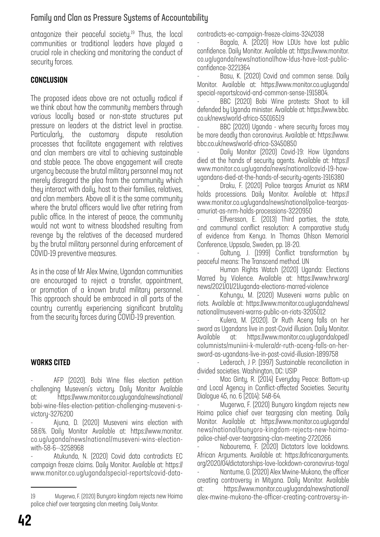#### Family and Clan as Pressure Systems of Accountability

antagonize their peaceful society.19 Thus, the local communities or traditional leaders have played a crucial role in checking and monitoring the conduct of security forces.

#### **CONCLUSION**

The proposed ideas above are not actually radical if we think about how the community members through various locally based or non-state structures put pressure on leaders at the district level in practise. Particularly, the customary dispute resolution processes that facilitate engagement with relatives and clan members are vital to achieving sustainable and stable peace. The above engagement will create urgency because the brutal military personnel may not merely disregard the plea from the community which they interact with daily, host to their families, relatives, and clan members. Above all it is the same community where the brutal officers would live after retiring from public office. In the interest of peace, the community would not want to witness bloodshed resulting from revenge by the relatives of the deceased murdered by the brutal military personnel during enforcement of COVID-19 preventive measures.

As in the case of Mr Alex Mwine, Ugandan communities are encouraged to reject a transfer, appointment, or promotion of a known brutal military personnel. This approach should be embraced in all parts of the country currently experiencing significant brutality from the security forces during COVID-19 prevention.

#### WORKS CITED

AFP (2020). Bobi Wine files election petition challenging Museveni's victory. Daily Monitor Available at: [https://www.monitor.co.ug/uganda/news/national/](https://www.monitor.co.ug/uganda/news/national/bobi-wine-files-election-petition-challenging-museveni-s-victory-3276200) [bobi-wine-files-election-petition-challenging-museveni-s](https://www.monitor.co.ug/uganda/news/national/bobi-wine-files-election-petition-challenging-museveni-s-victory-3276200)[victory-3276200](https://www.monitor.co.ug/uganda/news/national/bobi-wine-files-election-petition-challenging-museveni-s-victory-3276200)

- Ajuna, D. (2020) Museveni wins election with 58.6%. Daily Monitor Available at: [https://www.monitor.](https://www.monitor.co.ug/uganda/news/national/museveni-wins-election-with-58-6--3258968) [co.ug/uganda/news/national/museveni-wins-election](https://www.monitor.co.ug/uganda/news/national/museveni-wins-election-with-58-6--3258968)[with-58-6--3258968](https://www.monitor.co.ug/uganda/news/national/museveni-wins-election-with-58-6--3258968)

- Atukunda, N. (2020) Covid data contradicts EC campaign freeze claims. Daily Monitor. Available at: [https://](https://www.monitor.co.ug/uganda/special-reports/covid-data-contradicts-ec-campaign-freeze-claims-3242038) [www.monitor.co.ug/uganda/special-reports/covid-data-](https://www.monitor.co.ug/uganda/special-reports/covid-data-contradicts-ec-campaign-freeze-claims-3242038) [contradicts-ec-campaign-freeze-claims-3242038](https://www.monitor.co.ug/uganda/special-reports/covid-data-contradicts-ec-campaign-freeze-claims-3242038)

Bagala, A. (2020) How LDUs have lost public confidence. Daily Monitor. Available at: [https://www.monitor.](https://www.monitor.co.ug/uganda/news/national/how-ldus-have-lost-public-confidence-3221364) [co.ug/uganda/news/national/how-ldus-have-lost-public](https://www.monitor.co.ug/uganda/news/national/how-ldus-have-lost-public-confidence-3221364)[confidence-3221364](https://www.monitor.co.ug/uganda/news/national/how-ldus-have-lost-public-confidence-3221364)

Basu, K. (2020) Covid and common sense. Daily Monitor. Available at: [https://www.monitor.co.ug/uganda/](https://www.monitor.co.ug/uganda/special-reports/covid-and-common-sense-1915804) [special-reports/covid-and-common-sense-1915804.](https://www.monitor.co.ug/uganda/special-reports/covid-and-common-sense-1915804)

BBC (2020) Bobi Wine protests: Shoot to kill defended by Uganda minister. Available at: [https://www.bbc.](https://www.bbc.co.uk/news/world-africa-55016519) [co.uk/news/world-africa-55016519](https://www.bbc.co.uk/news/world-africa-55016519)

BBC (2020) Uganda - where security forces may be more deadly than coronavirus. Available at: [https://www.](https://www.bbc.co.uk/news/world-africa-53450850) [bbc.co.uk/news/world-africa-53450850](https://www.bbc.co.uk/news/world-africa-53450850)

Daily Monitor (2020) Covid-19: How Ugandans died at the hands of security agents. Available at: [https://](https://www.monitor.co.ug/uganda/news/national/covid-19-how-ugandans-died-at-the-hands-of-security-agents-1916380) [www.monitor.co.ug/uganda/news/national/covid-19-how](https://www.monitor.co.ug/uganda/news/national/covid-19-how-ugandans-died-at-the-hands-of-security-agents-1916380)[ugandans-died-at-the-hands-of-security-agents-1916380](https://www.monitor.co.ug/uganda/news/national/covid-19-how-ugandans-died-at-the-hands-of-security-agents-1916380)

Draku, F. (2020) Police teargas Amuriat as NRM holds processions. Daily Monitor. Available at: [https://](https://www.monitor.co.ug/uganda/news/national/police-teargas-amuriat-as-nrm-holds-processions-3220950) [www.monitor.co.ug/uganda/news/national/police-teargas](https://www.monitor.co.ug/uganda/news/national/police-teargas-amuriat-as-nrm-holds-processions-3220950)[amuriat-as-nrm-holds-processions-3220950](https://www.monitor.co.ug/uganda/news/national/police-teargas-amuriat-as-nrm-holds-processions-3220950)

Elfversson, E. (2013) Third parties, the state, and communal conflict resolution: A comparative study of evidence from Kenya. In Thomas Ohlson Memorial Conference, Uppsala, Sweden, pp. 18-20.

Galtung, J. (1999) Conflict transformation by peaceful means: The Transcend method. UN

- Human Rights Watch (2020) Uganda: Elections Marred by Violence. Available at: [https://www.hrw.org/](https://www.hrw.org/news/2021/01/21/uganda-elections-marred-violence) [news/2021/01/21/uganda-elections-marred-violence](https://www.hrw.org/news/2021/01/21/uganda-elections-marred-violence)

- Kahungu, M. (2020) Museveni warns public on riots. Available at: [https://www.monitor.co.ug/uganda/news/](https://www.monitor.co.ug/uganda/news/national/museveni-warns-public-on-riots-3205012) [national/museveni-warns-public-on-riots-3205012](https://www.monitor.co.ug/uganda/news/national/museveni-warns-public-on-riots-3205012)

- Kulera, M. (2020). Dr Ruth Aceng falls on her sword as Ugandans live in post-Covid illusion. Daily Monitor. Available at: [https://www.monitor.co.ug/uganda/oped/](https://www.monitor.co.ug/uganda/oped/columnists/muniini-k-mulera/dr-ruth-aceng-falls-on-her-sword-as-ugandans-live-in-post-covid-illusion-1899758) [columnists/muniini-k-mulera/dr-ruth-aceng-falls-on-her](https://www.monitor.co.ug/uganda/oped/columnists/muniini-k-mulera/dr-ruth-aceng-falls-on-her-sword-as-ugandans-live-in-post-covid-illusion-1899758)[sword-as-ugandans-live-in-post-covid-illusion-1899758](https://www.monitor.co.ug/uganda/oped/columnists/muniini-k-mulera/dr-ruth-aceng-falls-on-her-sword-as-ugandans-live-in-post-covid-illusion-1899758)

Lederach, J P. (1997) Sustainable reconciliation in divided societies. Washington, DC: USIP

Mac Ginty, R. (2014) Everyday Peace: Bottom-up and Local Agency in Conflict-affected Societies. Security Dialogue 45, no. 6 (2014): 548-64.

Mugerwa, F. (2020) Bunyoro kingdom rejects new Hoima police chief over teargasing clan meeting. Daily Monitor. Available at: [https://www.monitor.co.ug/uganda/](https://www.monitor.co.ug/uganda/news/national/bunyoro-kingdom-rejects-new-hoima-police-chief-over-teargasing-clan-meeting-2720266) [news/national/bunyoro-kingdom-rejects-new-hoima](https://www.monitor.co.ug/uganda/news/national/bunyoro-kingdom-rejects-new-hoima-police-chief-over-teargasing-clan-meeting-2720266)[police-chief-over-teargasing-clan-meeting-2720266](https://www.monitor.co.ug/uganda/news/national/bunyoro-kingdom-rejects-new-hoima-police-chief-over-teargasing-clan-meeting-2720266)

Nabourema, F. (2020) Dictators love lockdowns. African Arguments. Available at: [https://africanarguments.](https://africanarguments.org/2020/04/dictatorships-love-lockdown-coronavirus-togo/) [org/2020/04/dictatorships-love-lockdown-coronavirus-togo/](https://africanarguments.org/2020/04/dictatorships-love-lockdown-coronavirus-togo/)

Nantume, G. (2020) Alex Mwine-Mukono, the officer creating controversy in Mityana. Daily Monitor. Available at: [https://www.monitor.co.ug/uganda/news/national/](https://www.monitor.co.ug/uganda/news/national/alex-mwine-mukono-the-officer-creating-controversy-in-mityana-2720538) [alex-mwine-mukono-the-officer-creating-controversy-in-](https://www.monitor.co.ug/uganda/news/national/alex-mwine-mukono-the-officer-creating-controversy-in-mityana-2720538)

<sup>19</sup> Mugerwa, F. (2020) Bunyoro kingdom rejects new Hoima police chief over teargasing clan meeting. Daily Monitor.